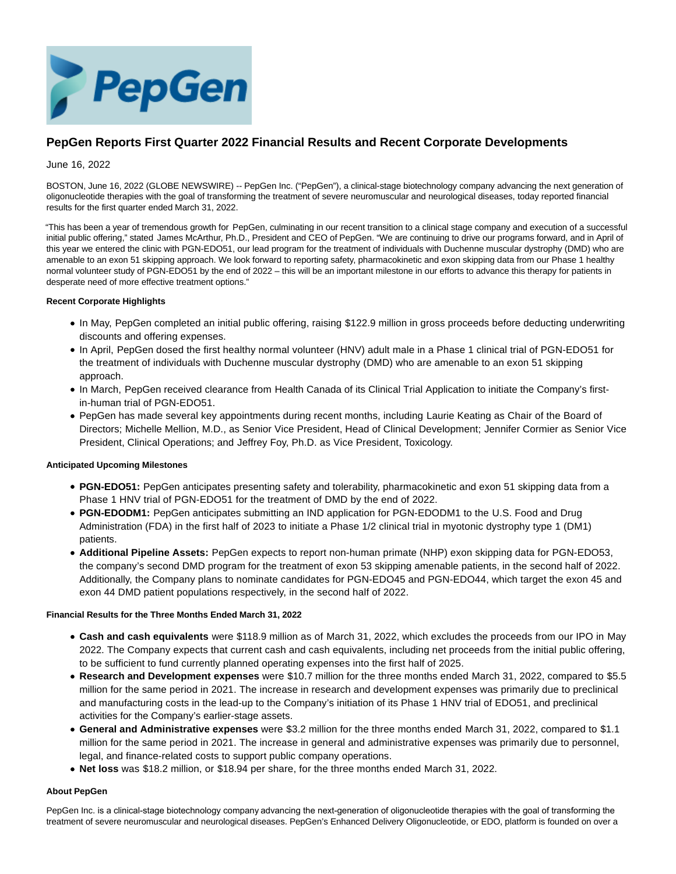

# **PepGen Reports First Quarter 2022 Financial Results and Recent Corporate Developments**

# June 16, 2022

BOSTON, June 16, 2022 (GLOBE NEWSWIRE) -- PepGen Inc. ("PepGen"), a clinical-stage biotechnology company advancing the next generation of oligonucleotide therapies with the goal of transforming the treatment of severe neuromuscular and neurological diseases, today reported financial results for the first quarter ended March 31, 2022.

"This has been a year of tremendous growth for PepGen, culminating in our recent transition to a clinical stage company and execution of a successful initial public offering," stated James McArthur, Ph.D., President and CEO of PepGen. "We are continuing to drive our programs forward, and in April of this year we entered the clinic with PGN-EDO51, our lead program for the treatment of individuals with Duchenne muscular dystrophy (DMD) who are amenable to an exon 51 skipping approach. We look forward to reporting safety, pharmacokinetic and exon skipping data from our Phase 1 healthy normal volunteer study of PGN-EDO51 by the end of 2022 – this will be an important milestone in our efforts to advance this therapy for patients in desperate need of more effective treatment options."

# **Recent Corporate Highlights**

- In May, PepGen completed an initial public offering, raising \$122.9 million in gross proceeds before deducting underwriting discounts and offering expenses.
- In April, PepGen dosed the first healthy normal volunteer (HNV) adult male in a Phase 1 clinical trial of PGN-EDO51 for the treatment of individuals with Duchenne muscular dystrophy (DMD) who are amenable to an exon 51 skipping approach.
- In March, PepGen received clearance from Health Canada of its Clinical Trial Application to initiate the Company's firstin-human trial of PGN-EDO51.
- PepGen has made several key appointments during recent months, including Laurie Keating as Chair of the Board of Directors; Michelle Mellion, M.D., as Senior Vice President, Head of Clinical Development; Jennifer Cormier as Senior Vice President, Clinical Operations; and Jeffrey Foy, Ph.D. as Vice President, Toxicology.

# **Anticipated Upcoming Milestones**

- **PGN-EDO51:** PepGen anticipates presenting safety and tolerability, pharmacokinetic and exon 51 skipping data from a Phase 1 HNV trial of PGN-EDO51 for the treatment of DMD by the end of 2022.
- **PGN-EDODM1:** PepGen anticipates submitting an IND application for PGN-EDODM1 to the U.S. Food and Drug Administration (FDA) in the first half of 2023 to initiate a Phase 1/2 clinical trial in myotonic dystrophy type 1 (DM1) patients.
- **Additional Pipeline Assets:** PepGen expects to report non-human primate (NHP) exon skipping data for PGN-EDO53, the company's second DMD program for the treatment of exon 53 skipping amenable patients, in the second half of 2022. Additionally, the Company plans to nominate candidates for PGN-EDO45 and PGN-EDO44, which target the exon 45 and exon 44 DMD patient populations respectively, in the second half of 2022.

# **Financial Results for the Three Months Ended March 31, 2022**

- **Cash and cash equivalents** were \$118.9 million as of March 31, 2022, which excludes the proceeds from our IPO in May 2022. The Company expects that current cash and cash equivalents, including net proceeds from the initial public offering, to be sufficient to fund currently planned operating expenses into the first half of 2025.
- **Research and Development expenses** were \$10.7 million for the three months ended March 31, 2022, compared to \$5.5 million for the same period in 2021. The increase in research and development expenses was primarily due to preclinical and manufacturing costs in the lead-up to the Company's initiation of its Phase 1 HNV trial of EDO51, and preclinical activities for the Company's earlier-stage assets.
- **General and Administrative expenses** were \$3.2 million for the three months ended March 31, 2022, compared to \$1.1 million for the same period in 2021. The increase in general and administrative expenses was primarily due to personnel, legal, and finance-related costs to support public company operations.
- **Net loss** was \$18.2 million, or \$18.94 per share, for the three months ended March 31, 2022.

# **About PepGen**

PepGen Inc. is a clinical-stage biotechnology company advancing the next-generation of oligonucleotide therapies with the goal of transforming the treatment of severe neuromuscular and neurological diseases. PepGen's Enhanced Delivery Oligonucleotide, or EDO, platform is founded on over a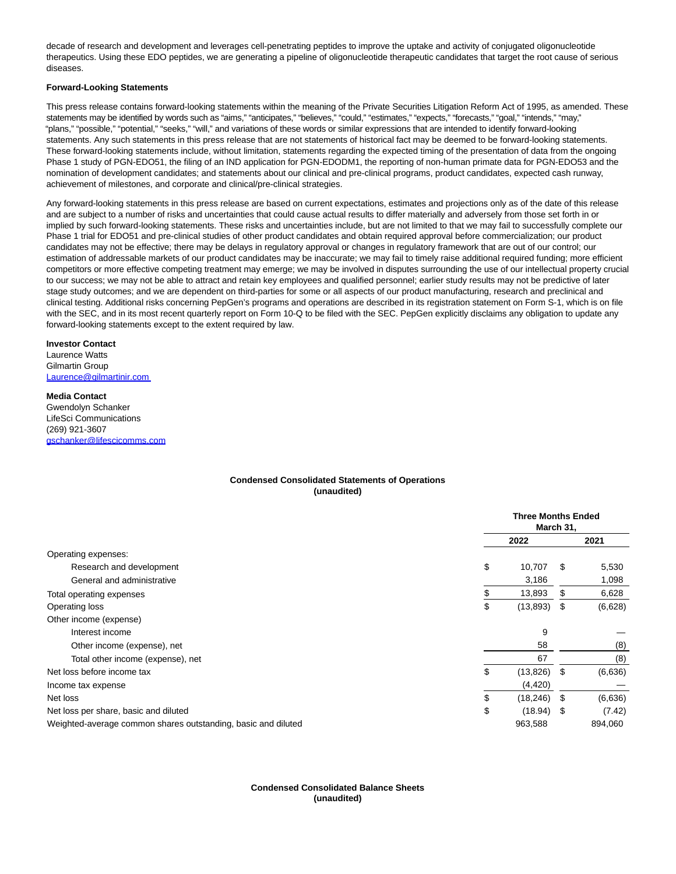decade of research and development and leverages cell-penetrating peptides to improve the uptake and activity of conjugated oligonucleotide therapeutics. Using these EDO peptides, we are generating a pipeline of oligonucleotide therapeutic candidates that target the root cause of serious diseases.

#### **Forward-Looking Statements**

This press release contains forward-looking statements within the meaning of the Private Securities Litigation Reform Act of 1995, as amended. These statements may be identified by words such as "aims," "anticipates," "believes," "could," "estimates," "expects," "forecasts," "goal," "intends," "may," "plans," "possible," "potential," "seeks," "will," and variations of these words or similar expressions that are intended to identify forward-looking statements. Any such statements in this press release that are not statements of historical fact may be deemed to be forward-looking statements. These forward-looking statements include, without limitation, statements regarding the expected timing of the presentation of data from the ongoing Phase 1 study of PGN-EDO51, the filing of an IND application for PGN-EDODM1, the reporting of non-human primate data for PGN-EDO53 and the nomination of development candidates; and statements about our clinical and pre-clinical programs, product candidates, expected cash runway, achievement of milestones, and corporate and clinical/pre-clinical strategies.

Any forward-looking statements in this press release are based on current expectations, estimates and projections only as of the date of this release and are subject to a number of risks and uncertainties that could cause actual results to differ materially and adversely from those set forth in or implied by such forward-looking statements. These risks and uncertainties include, but are not limited to that we may fail to successfully complete our Phase 1 trial for EDO51 and pre-clinical studies of other product candidates and obtain required approval before commercialization; our product candidates may not be effective; there may be delays in regulatory approval or changes in regulatory framework that are out of our control; our estimation of addressable markets of our product candidates may be inaccurate; we may fail to timely raise additional required funding; more efficient competitors or more effective competing treatment may emerge; we may be involved in disputes surrounding the use of our intellectual property crucial to our success; we may not be able to attract and retain key employees and qualified personnel; earlier study results may not be predictive of later stage study outcomes; and we are dependent on third-parties for some or all aspects of our product manufacturing, research and preclinical and clinical testing. Additional risks concerning PepGen's programs and operations are described in its registration statement on Form S-1, which is on file with the SEC, and in its most recent quarterly report on Form 10-Q to be filed with the SEC. PepGen explicitly disclaims any obligation to update any forward-looking statements except to the extent required by law.

#### **Investor Contact**

Laurence Watts Gilmartin Group [Laurence@gilmartinir.com](mailto:Laurence@gilmartinir.com%C2%A0) 

# **Media Contact**

Gwendolyn Schanker LifeSci Communications (269) 921-3607 [gschanker@lifescicomms.com](https://www.globenewswire.com/Tracker?data=ixDd48_Wquftbrf1r-CgLK07ALRDS9xlZIl3oPcYw3hSGHrAgycr5Qs02_94hPjhn1V6lJGhehY2PY11F-cIe-Qp2s7TX8mSP-ZJ_FkTzGZJu5IMw9DDqqBgSGOon6Cj)

# **Condensed Consolidated Statements of Operations (unaudited)**

|                                                               | <b>Three Months Ended</b><br>March 31, |      |         |  |
|---------------------------------------------------------------|----------------------------------------|------|---------|--|
|                                                               | 2022                                   |      | 2021    |  |
| Operating expenses:                                           |                                        |      |         |  |
| Research and development                                      | \$<br>10,707                           | S    | 5,530   |  |
| General and administrative                                    | 3,186                                  |      | 1,098   |  |
| Total operating expenses                                      | 13,893                                 | \$   | 6,628   |  |
| Operating loss                                                | \$<br>(13, 893)                        | \$   | (6,628) |  |
| Other income (expense)                                        |                                        |      |         |  |
| Interest income                                               | 9                                      |      |         |  |
| Other income (expense), net                                   | 58                                     |      | (8)     |  |
| Total other income (expense), net                             | 67                                     |      | (8)     |  |
| Net loss before income tax                                    | \$<br>(13, 826)                        | - \$ | (6,636) |  |
| Income tax expense                                            | (4, 420)                               |      |         |  |
| Net loss                                                      | \$<br>(18, 246)                        | \$   | (6,636) |  |
| Net loss per share, basic and diluted                         | \$<br>$(18.94)$ \$                     |      | (7.42)  |  |
| Weighted-average common shares outstanding, basic and diluted | 963,588                                |      | 894,060 |  |

# **Condensed Consolidated Balance Sheets (unaudited)**